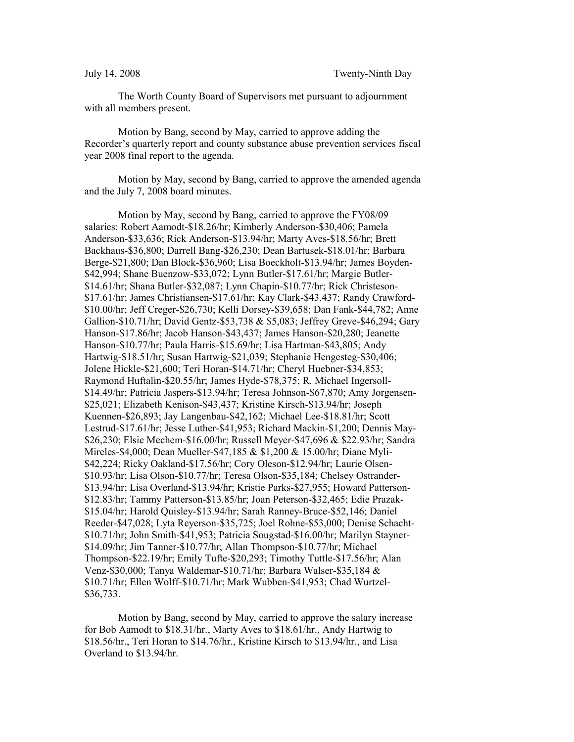The Worth County Board of Supervisors met pursuant to adjournment with all members present.

Motion by Bang, second by May, carried to approve adding the Recorder's quarterly report and county substance abuse prevention services fiscal year 2008 final report to the agenda.

Motion by May, second by Bang, carried to approve the amended agenda and the July 7, 2008 board minutes.

Motion by May, second by Bang, carried to approve the FY08/09 salaries: Robert Aamodt-\$18.26/hr; Kimberly Anderson-\$30,406; Pamela Anderson-\$33,636; Rick Anderson-\$13.94/hr; Marty Aves-\$18.56/hr; Brett Backhaus-\$36,800; Darrell Bang-\$26,230; Dean Bartusek-\$18.01/hr; Barbara Berge-\$21,800; Dan Block-\$36,960; Lisa Boeckholt-\$13.94/hr; James Boyden- \$42,994; Shane Buenzow-\$33,072; Lynn Butler-\$17.61/hr; Margie Butler- \$14.61/hr; Shana Butler-\$32,087; Lynn Chapin-\$10.77/hr; Rick Christeson- \$17.61/hr; James Christiansen-\$17.61/hr; Kay Clark-\$43,437; Randy Crawford- \$10.00/hr; Jeff Creger-\$26,730; Kelli Dorsey-\$39,658; Dan Fank-\$44,782; Anne Gallion-\$10.71/hr; David Gentz-\$53,738 & \$5,083; Jeffrey Greve-\$46,294; Gary Hanson-\$17.86/hr; Jacob Hanson-\$43,437; James Hanson-\$20,280; Jeanette Hanson-\$10.77/hr; Paula Harris-\$15.69/hr; Lisa Hartman-\$43,805; Andy Hartwig-\$18.51/hr; Susan Hartwig-\$21,039; Stephanie Hengesteg-\$30,406; Jolene Hickle-\$21,600; Teri Horan-\$14.71/hr; Cheryl Huebner-\$34,853; Raymond Huftalin-\$20.55/hr; James Hyde-\$78,375; R. Michael Ingersoll- \$14.49/hr; Patricia Jaspers-\$13.94/hr; Teresa Johnson-\$67,870; Amy Jorgensen- \$25,021; Elizabeth Kenison-\$43,437; Kristine Kirsch-\$13.94/hr; Joseph Kuennen-\$26,893; Jay Langenbau-\$42,162; Michael Lee-\$18.81/hr; Scott Lestrud-\$17.61/hr; Jesse Luther-\$41,953; Richard Mackin-\$1,200; Dennis May- \$26,230; Elsie Mechem-\$16.00/hr; Russell Meyer-\$47,696 & \$22.93/hr; Sandra Mireles-\$4,000; Dean Mueller-\$47,185 & \$1,200 & 15.00/hr; Diane Myli- \$42,224; Ricky Oakland-\$17.56/hr; Cory Oleson-\$12.94/hr; Laurie Olsen- \$10.93/hr; Lisa Olson-\$10.77/hr; Teresa Olson-\$35,184; Chelsey Ostrander- \$13.94/hr; Lisa Overland-\$13.94/hr; Kristie Parks-\$27,955; Howard Patterson- \$12.83/hr; Tammy Patterson-\$13.85/hr; Joan Peterson-\$32,465; Edie Prazak- \$15.04/hr; Harold Quisley-\$13.94/hr; Sarah Ranney-Bruce-\$52,146; Daniel Reeder-\$47,028; Lyta Reyerson-\$35,725; Joel Rohne-\$53,000; Denise Schacht- \$10.71/hr; John Smith-\$41,953; Patricia Sougstad-\$16.00/hr; Marilyn Stayner- \$14.09/hr; Jim Tanner-\$10.77/hr; Allan Thompson-\$10.77/hr; Michael Thompson-\$22.19/hr; Emily Tufte-\$20,293; Timothy Tuttle-\$17.56/hr; Alan Venz-\$30,000; Tanya Waldemar-\$10.71/hr; Barbara Walser-\$35,184 & \$10.71/hr; Ellen Wolff-\$10.71/hr; Mark Wubben-\$41,953; Chad Wurtzel- \$36,733.

Motion by Bang, second by May, carried to approve the salary increase for Bob Aamodt to \$18.31/hr., Marty Aves to \$18.61/hr., Andy Hartwig to \$18.56/hr., Teri Horan to \$14.76/hr., Kristine Kirsch to \$13.94/hr., and Lisa Overland to \$13.94/hr.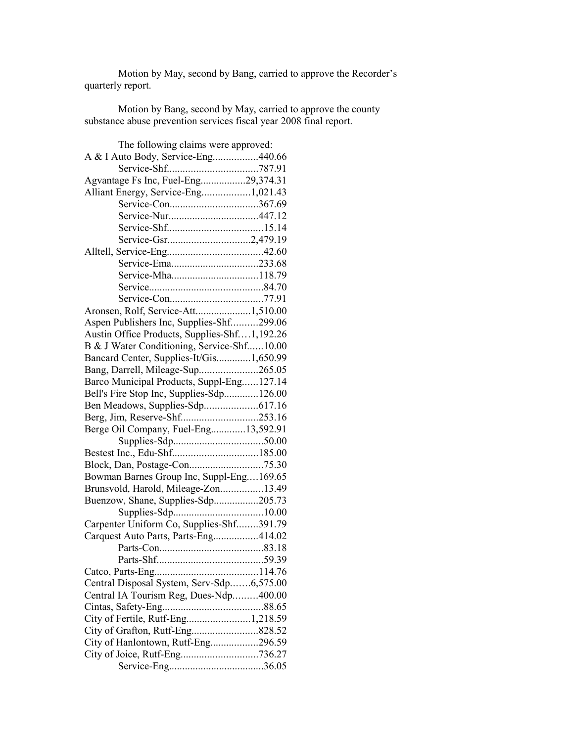Motion by May, second by Bang, carried to approve the Recorder's quarterly report.

Motion by Bang, second by May, carried to approve the county substance abuse prevention services fiscal year 2008 final report.

| The following claims were approved:          |  |
|----------------------------------------------|--|
| A & I Auto Body, Service-Eng440.66           |  |
|                                              |  |
| Agvantage Fs Inc, Fuel-Eng29,374.31          |  |
| Alliant Energy, Service-Eng1,021.43          |  |
| Service-Con367.69                            |  |
|                                              |  |
|                                              |  |
| Service-Gsr2,479.19                          |  |
|                                              |  |
| Service-Ema233.68                            |  |
|                                              |  |
|                                              |  |
|                                              |  |
| Aronsen, Rolf, Service-Att1,510.00           |  |
| Aspen Publishers Inc, Supplies-Shf299.06     |  |
| Austin Office Products, Supplies-Shf1,192.26 |  |
| B & J Water Conditioning, Service-Shf10.00   |  |
| Bancard Center, Supplies-It/Gis1,650.99      |  |
| Bang, Darrell, Mileage-Sup265.05             |  |
| Barco Municipal Products, Suppl-Eng127.14    |  |
| Bell's Fire Stop Inc, Supplies-Sdp126.00     |  |
| Ben Meadows, Supplies-Sdp617.16              |  |
|                                              |  |
| Berge Oil Company, Fuel-Eng13,592.91         |  |
|                                              |  |
|                                              |  |
|                                              |  |
| Bowman Barnes Group Inc, Suppl-Eng169.65     |  |
| Brunsvold, Harold, Mileage-Zon13.49          |  |
|                                              |  |
| Buenzow, Shane, Supplies-Sdp205.73           |  |
|                                              |  |
| Carpenter Uniform Co, Supplies-Shf391.79     |  |
| Carquest Auto Parts, Parts-Eng414.02         |  |
|                                              |  |
|                                              |  |
|                                              |  |
| Central Disposal System, Serv-Sdp6,575.00    |  |
| Central IA Tourism Reg, Dues-Ndp400.00       |  |
|                                              |  |
|                                              |  |
| City of Grafton, Rutf-Eng828.52              |  |
| City of Hanlontown, Rutf-Eng296.59           |  |
| City of Joice, Rutf-Eng736.27                |  |
|                                              |  |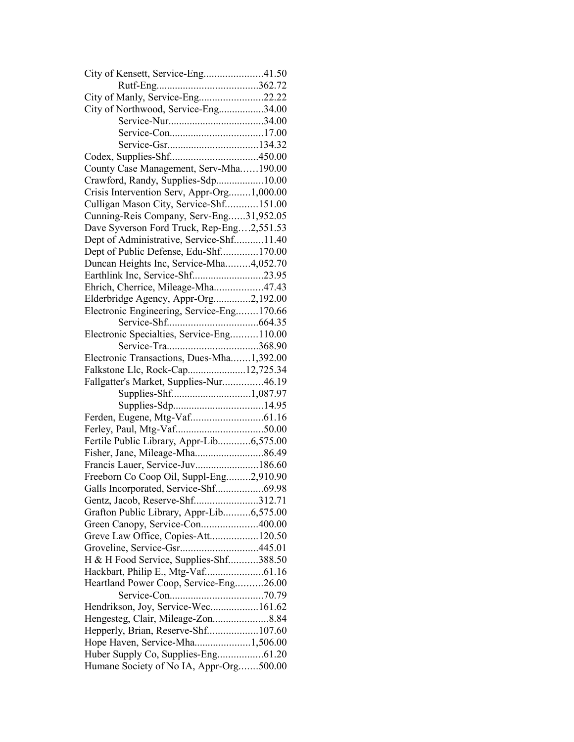| City of Kensett, Service-Eng41.50          |  |
|--------------------------------------------|--|
|                                            |  |
| City of Manly, Service-Eng22.22            |  |
| City of Northwood, Service-Eng34.00        |  |
|                                            |  |
|                                            |  |
|                                            |  |
|                                            |  |
| County Case Management, Serv-Mha190.00     |  |
| Crawford, Randy, Supplies-Sdp10.00         |  |
| Crisis Intervention Serv, Appr-Org1,000.00 |  |
| Culligan Mason City, Service-Shf151.00     |  |
| Cunning-Reis Company, Serv-Eng31,952.05    |  |
| Dave Syverson Ford Truck, Rep-Eng2,551.53  |  |
| Dept of Administrative, Service-Shf11.40   |  |
| Dept of Public Defense, Edu-Shf170.00      |  |
| Duncan Heights Inc, Service-Mha4,052.70    |  |
| Earthlink Inc, Service-Shf23.95            |  |
| Ehrich, Cherrice, Mileage-Mha47.43         |  |
| Elderbridge Agency, Appr-Org2,192.00       |  |
| Electronic Engineering, Service-Eng170.66  |  |
|                                            |  |
| Electronic Specialties, Service-Eng110.00  |  |
|                                            |  |
| Electronic Transactions, Dues-Mha1,392.00  |  |
| Falkstone Llc, Rock-Cap12,725.34           |  |
| Fallgatter's Market, Supplies-Nur46.19     |  |
| Supplies-Shf1,087.97                       |  |
|                                            |  |
|                                            |  |
|                                            |  |
| Fertile Public Library, Appr-Lib6,575.00   |  |
|                                            |  |
| Francis Lauer, Service-Juv186.60           |  |
| Freeborn Co Coop Oil, Suppl-Eng2,910.90    |  |
| Galls Incorporated, Service-Shf69.98       |  |
| Gentz, Jacob, Reserve-Shf312.71            |  |
| Grafton Public Library, Appr-Lib6,575.00   |  |
| Green Canopy, Service-Con400.00            |  |
| Greve Law Office, Copies-Att120.50         |  |
| Groveline, Service-Gsr445.01               |  |
| H & H Food Service, Supplies-Shf388.50     |  |
|                                            |  |
| Heartland Power Coop, Service-Eng26.00     |  |
|                                            |  |
| Hendrikson, Joy, Service-Wec161.62         |  |
|                                            |  |
| Hengesteg, Clair, Mileage-Zon8.84          |  |
| Hepperly, Brian, Reserve-Shf107.60         |  |
| Hope Haven, Service-Mha1,506.00            |  |
|                                            |  |
| Humane Society of No IA, Appr-Org500.00    |  |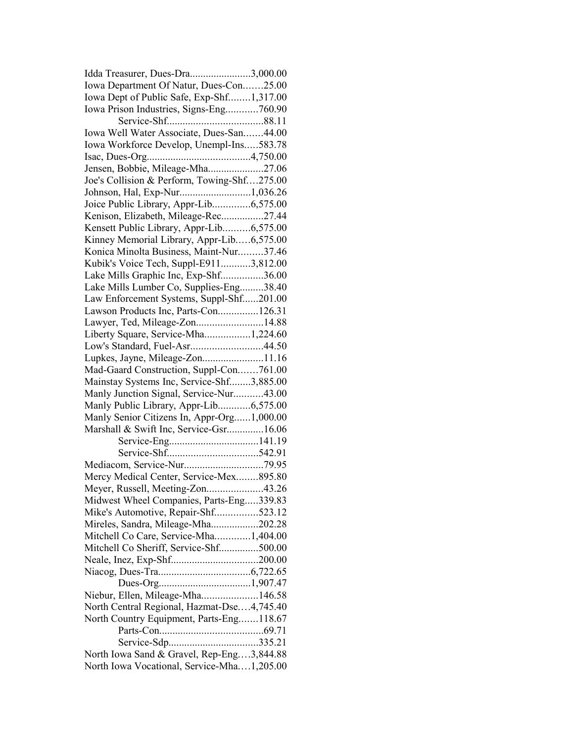| Idda Treasurer, Dues-Dra3,000.00            |  |
|---------------------------------------------|--|
| Iowa Department Of Natur, Dues-Con25.00     |  |
| Iowa Dept of Public Safe, Exp-Shf1,317.00   |  |
| Iowa Prison Industries, Signs-Eng760.90     |  |
|                                             |  |
| Iowa Well Water Associate, Dues-San44.00    |  |
| Iowa Workforce Develop, Unempl-Ins583.78    |  |
|                                             |  |
| Jensen, Bobbie, Mileage-Mha27.06            |  |
| Joe's Collision & Perform, Towing-Shf275.00 |  |
| Johnson, Hal, Exp-Nur1,036.26               |  |
| Joice Public Library, Appr-Lib6,575.00      |  |
| Kenison, Elizabeth, Mileage-Rec27.44        |  |
| Kensett Public Library, Appr-Lib6,575.00    |  |
| Kinney Memorial Library, Appr-Lib6,575.00   |  |
| Konica Minolta Business, Maint-Nur37.46     |  |
| Kubik's Voice Tech, Suppl-E9113,812.00      |  |
| Lake Mills Graphic Inc, Exp-Shf36.00        |  |
|                                             |  |
| Lake Mills Lumber Co, Supplies-Eng38.40     |  |
| Law Enforcement Systems, Suppl-Shf201.00    |  |
| Lawson Products Inc, Parts-Con126.31        |  |
| Lawyer, Ted, Mileage-Zon14.88               |  |
| Liberty Square, Service-Mha1,224.60         |  |
| Low's Standard, Fuel-Asr44.50               |  |
| Lupkes, Jayne, Mileage-Zon11.16             |  |
| Mad-Gaard Construction, Suppl-Con761.00     |  |
| Mainstay Systems Inc, Service-Shf3,885.00   |  |
| Manly Junction Signal, Service-Nur43.00     |  |
| Manly Public Library, Appr-Lib6,575.00      |  |
| Manly Senior Citizens In, Appr-Org1,000.00  |  |
| Marshall & Swift Inc, Service-Gsr16.06      |  |
|                                             |  |
|                                             |  |
|                                             |  |
| Mercy Medical Center, Service-Mex895.80     |  |
| Meyer, Russell, Meeting-Zon43.26            |  |
| Midwest Wheel Companies, Parts-Eng339.83    |  |
| Mike's Automotive, Repair-Shf523.12         |  |
| Mireles, Sandra, Mileage-Mha202.28          |  |
| Mitchell Co Care, Service-Mha1,404.00       |  |
| Mitchell Co Sheriff, Service-Shf500.00      |  |
|                                             |  |
|                                             |  |
|                                             |  |
| Niebur, Ellen, Mileage-Mha146.58            |  |
| North Central Regional, Hazmat-Dse4,745.40  |  |
| North Country Equipment, Parts-Eng118.67    |  |
|                                             |  |
|                                             |  |
| North Iowa Sand & Gravel, Rep-Eng3,844.88   |  |
| North Iowa Vocational, Service-Mha1,205.00  |  |
|                                             |  |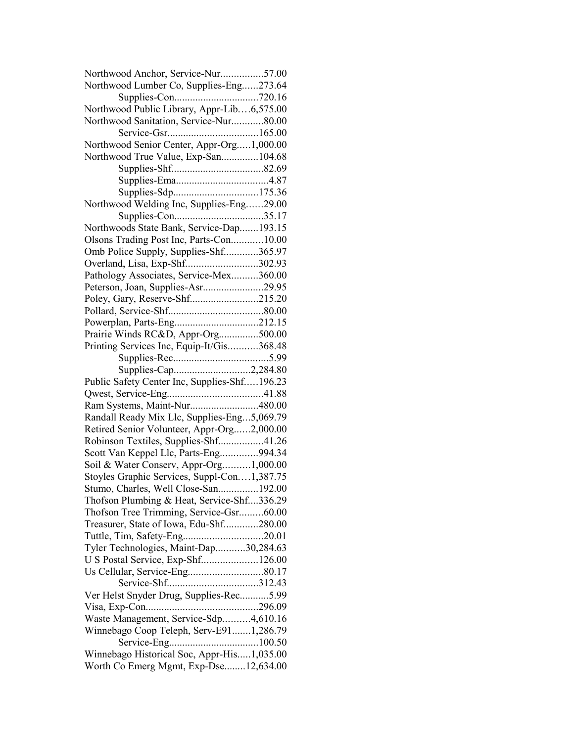| Northwood Anchor, Service-Nur57.00           |  |
|----------------------------------------------|--|
| Northwood Lumber Co, Supplies-Eng273.64      |  |
|                                              |  |
| Northwood Public Library, Appr-Lib6,575.00   |  |
| Northwood Sanitation, Service-Nur80.00       |  |
|                                              |  |
| Northwood Senior Center, Appr-Org1,000.00    |  |
| Northwood True Value, Exp-San104.68          |  |
|                                              |  |
|                                              |  |
|                                              |  |
| Northwood Welding Inc, Supplies-Eng29.00     |  |
|                                              |  |
| Northwoods State Bank, Service-Dap193.15     |  |
| Olsons Trading Post Inc, Parts-Con10.00      |  |
| Omb Police Supply, Supplies-Shf365.97        |  |
| Overland, Lisa, Exp-Shf302.93                |  |
| Pathology Associates, Service-Mex360.00      |  |
| Peterson, Joan, Supplies-Asr29.95            |  |
| Poley, Gary, Reserve-Shf215.20               |  |
|                                              |  |
|                                              |  |
| Prairie Winds RC&D, Appr-Org500.00           |  |
| Printing Services Inc, Equip-It/Gis368.48    |  |
|                                              |  |
| Supplies-Cap2,284.80                         |  |
| Public Safety Center Inc, Supplies-Shf196.23 |  |
|                                              |  |
| Ram Systems, Maint-Nur480.00                 |  |
| Randall Ready Mix Llc, Supplies-Eng5,069.79  |  |
| Retired Senior Volunteer, Appr-Org2,000.00   |  |
| Robinson Textiles, Supplies-Shf41.26         |  |
|                                              |  |
| Scott Van Keppel Llc, Parts-Eng994.34        |  |
| Soil & Water Conserv, Appr-Org1,000.00       |  |
| Stoyles Graphic Services, Suppl-Con1,387.75  |  |
| Stumo, Charles, Well Close-San192.00         |  |
| Thofson Plumbing & Heat, Service-Shf336.29   |  |
| Thofson Tree Trimming, Service-Gsr60.00      |  |
| Treasurer, State of Iowa, Edu-Shf280.00      |  |
| Tuttle, Tim, Safety-Eng20.01                 |  |
| Tyler Technologies, Maint-Dap30,284.63       |  |
| U S Postal Service, Exp-Shf126.00            |  |
|                                              |  |
|                                              |  |
| Ver Helst Snyder Drug, Supplies-Rec5.99      |  |
|                                              |  |
| Waste Management, Service-Sdp4,610.16        |  |
| Winnebago Coop Teleph, Serv-E911,286.79      |  |
|                                              |  |
| Winnebago Historical Soc, Appr-His1,035.00   |  |
| Worth Co Emerg Mgmt, Exp-Dse12,634.00        |  |